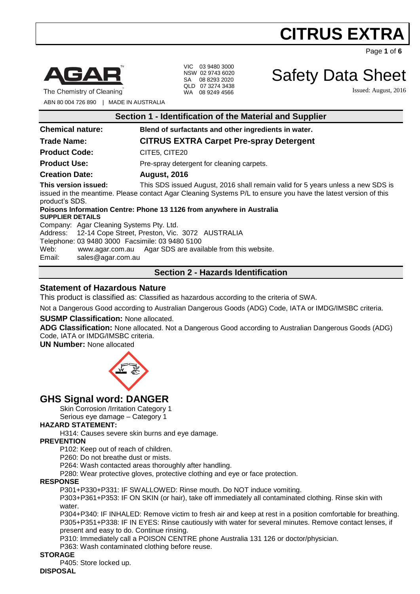Page **1** of **6**



The Chemistry of Cleaning

VIC 03 9480 3000 NSW 02 9743 6020 SA 08 8293 2020 QLD 07 3274 3438 WA 08 9249 4566

Safety Data Sheet

Issued: August, 2016

ABN 80 004 726 890 | MADE IN AUSTRALIA

| Section 1 - Identification of the Material and Supplier                                                                                                                                                                                     |                                                           |  |
|---------------------------------------------------------------------------------------------------------------------------------------------------------------------------------------------------------------------------------------------|-----------------------------------------------------------|--|
| <b>Chemical nature:</b>                                                                                                                                                                                                                     | Blend of surfactants and other ingredients in water.      |  |
| <b>Trade Name:</b>                                                                                                                                                                                                                          | <b>CITRUS EXTRA Carpet Pre-spray Detergent</b>            |  |
| <b>Product Code:</b>                                                                                                                                                                                                                        | CITE5, CITE20                                             |  |
| <b>Product Use:</b>                                                                                                                                                                                                                         | Pre-spray detergent for cleaning carpets.                 |  |
| <b>Creation Date:</b>                                                                                                                                                                                                                       | <b>August, 2016</b>                                       |  |
| This version issued:<br>This SDS issued August, 2016 shall remain valid for 5 years unless a new SDS is<br>issued in the meantime. Please contact Agar Cleaning Systems P/L to ensure you have the latest version of this<br>product's SDS. |                                                           |  |
| Poisons Information Centre: Phone 13 1126 from anywhere in Australia                                                                                                                                                                        |                                                           |  |
| <b>SUPPLIER DETAILS</b>                                                                                                                                                                                                                     |                                                           |  |
| Company: Agar Cleaning Systems Pty. Ltd.                                                                                                                                                                                                    |                                                           |  |
| Address: 12-14 Cope Street, Preston, Vic. 3072 AUSTRALIA                                                                                                                                                                                    |                                                           |  |
| Telephone: 03 9480 3000 Facsimile: 03 9480 5100                                                                                                                                                                                             |                                                           |  |
| Web:                                                                                                                                                                                                                                        | www.agar.com.au Agar SDS are available from this website. |  |
| Email:<br>sales@agar.com.au                                                                                                                                                                                                                 |                                                           |  |

# **Section 2 - Hazards Identification**

### **Statement of Hazardous Nature**

This product is classified as: Classified as hazardous according to the criteria of SWA.

Not a Dangerous Good according to Australian Dangerous Goods (ADG) Code, IATA or IMDG/IMSBC criteria.

#### **SUSMP Classification:** None allocated.

**ADG Classification:** None allocated. Not a Dangerous Good according to Australian Dangerous Goods (ADG) Code, IATA or IMDG/IMSBC criteria.

**UN Number:** None allocated



# **GHS Signal word: DANGER**

Skin Corrosion /Irritation Category 1

Serious eye damage – Category 1

#### **HAZARD STATEMENT:**

H314: Causes severe skin burns and eye damage.

#### **PREVENTION**

P102: Keep out of reach of children.

P260: Do not breathe dust or mists.

P264: Wash contacted areas thoroughly after handling.

P280: Wear protective gloves, protective clothing and eye or face protection.

#### **RESPONSE**

P301+P330+P331: IF SWALLOWED: Rinse mouth. Do NOT induce vomiting.

P303+P361+P353: IF ON SKIN (or hair), take off immediately all contaminated clothing. Rinse skin with water.

P304+P340: IF INHALED: Remove victim to fresh air and keep at rest in a position comfortable for breathing. P305+P351+P338: IF IN EYES: Rinse cautiously with water for several minutes. Remove contact lenses, if present and easy to do. Continue rinsing.

P310: Immediately call a POISON CENTRE phone Australia 131 126 or doctor/physician.

P363: Wash contaminated clothing before reuse.

#### **STORAGE**

P405: Store locked up.

#### **DISPOSAL**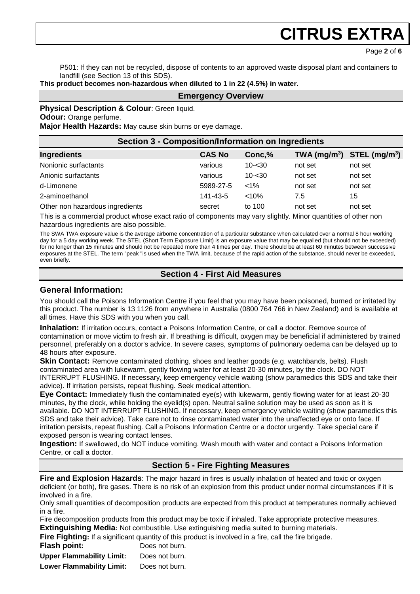Page **2** of **6**

P501: If they can not be recycled, dispose of contents to an approved waste disposal plant and containers to landfill (see Section 13 of this SDS).

**This product becomes non-hazardous when diluted to 1 in 22 (4.5%) in water.**

#### **Emergency Overview**

#### **Physical Description & Colour: Green liquid.**

**Odour:** Orange perfume.

**Major Health Hazards:** May cause skin burns or eye damage.

| <b>Section 3 - Composition/Information on Ingredients</b> |               |           |                                |         |
|-----------------------------------------------------------|---------------|-----------|--------------------------------|---------|
| Ingredients                                               | <b>CAS No</b> | Conc,%    | TWA $(mg/m^3)$ STEL $(mg/m^3)$ |         |
| Nonionic surfactants                                      | various       | $10 - 30$ | not set                        | not set |
| Anionic surfactants                                       | various       | $10 - 30$ | not set                        | not set |
| d-Limonene                                                | 5989-27-5     | $< 1\%$   | not set                        | not set |
| 2-aminoethanol                                            | 141-43-5      | $< 10\%$  | 7.5                            | 15      |
| Other non hazardous ingredients                           | secret        | to 100    | not set                        | not set |

This is a commercial product whose exact ratio of components may vary slightly. Minor quantities of other non hazardous ingredients are also possible.

The SWA TWA exposure value is the average airborne concentration of a particular substance when calculated over a normal 8 hour working day for a 5 day working week. The STEL (Short Term Exposure Limit) is an exposure value that may be equalled (but should not be exceeded) for no longer than 15 minutes and should not be repeated more than 4 times per day. There should be at least 60 minutes between successive exposures at the STEL. The term "peak "is used when the TWA limit, because of the rapid action of the substance, should never be exceeded, even briefly.

# **Section 4 - First Aid Measures**

### **General Information:**

You should call the Poisons Information Centre if you feel that you may have been poisoned, burned or irritated by this product. The number is 13 1126 from anywhere in Australia (0800 764 766 in New Zealand) and is available at all times. Have this SDS with you when you call.

**Inhalation:** If irritation occurs, contact a Poisons Information Centre, or call a doctor. Remove source of contamination or move victim to fresh air. If breathing is difficult, oxygen may be beneficial if administered by trained personnel, preferably on a doctor's advice. In severe cases, symptoms of pulmonary oedema can be delayed up to 48 hours after exposure.

**Skin Contact:** Remove contaminated clothing, shoes and leather goods (e.g. watchbands, belts). Flush contaminated area with lukewarm, gently flowing water for at least 20-30 minutes, by the clock. DO NOT INTERRUPT FLUSHING. If necessary, keep emergency vehicle waiting (show paramedics this SDS and take their advice). If irritation persists, repeat flushing. Seek medical attention.

**Eye Contact:** Immediately flush the contaminated eye(s) with lukewarm, gently flowing water for at least 20-30 minutes, by the clock, while holding the eyelid(s) open. Neutral saline solution may be used as soon as it is available. DO NOT INTERRUPT FLUSHING. If necessary, keep emergency vehicle waiting (show paramedics this SDS and take their advice). Take care not to rinse contaminated water into the unaffected eye or onto face. If irritation persists, repeat flushing. Call a Poisons Information Centre or a doctor urgently. Take special care if exposed person is wearing contact lenses.

**Ingestion:** If swallowed, do NOT induce vomiting. Wash mouth with water and contact a Poisons Information Centre, or call a doctor.

### **Section 5 - Fire Fighting Measures**

**Fire and Explosion Hazards**: The major hazard in fires is usually inhalation of heated and toxic or oxygen deficient (or both), fire gases. There is no risk of an explosion from this product under normal circumstances if it is involved in a fire.

Only small quantities of decomposition products are expected from this product at temperatures normally achieved in a fire.

Fire decomposition products from this product may be toxic if inhaled. Take appropriate protective measures. **Extinguishing Media:** Not combustible. Use extinguishing media suited to burning materials.

**Fire Fighting:** If a significant quantity of this product is involved in a fire, call the fire brigade.

**Flash point:** Does not burn.

**Upper Flammability Limit:** Does not burn.

**Lower Flammability Limit:** Does not burn.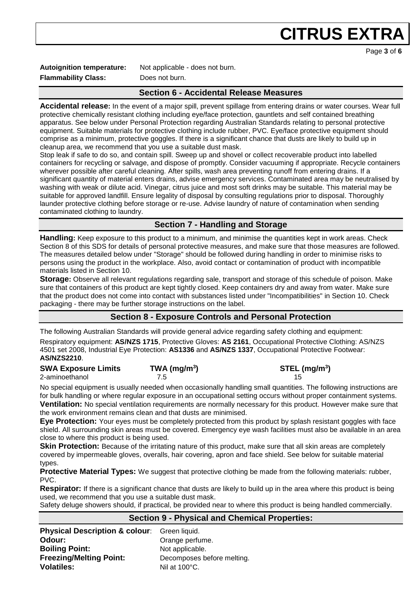Page **3** of **6**

**Flammability Class:** Does not burn.

**Autoignition temperature:** Not applicable - does not burn.

# **Section 6 - Accidental Release Measures**

**Accidental release:** In the event of a major spill, prevent spillage from entering drains or water courses. Wear full protective chemically resistant clothing including eye/face protection, gauntlets and self contained breathing apparatus. See below under Personal Protection regarding Australian Standards relating to personal protective equipment. Suitable materials for protective clothing include rubber, PVC. Eye/face protective equipment should comprise as a minimum, protective goggles. If there is a significant chance that dusts are likely to build up in cleanup area, we recommend that you use a suitable dust mask.

Stop leak if safe to do so, and contain spill. Sweep up and shovel or collect recoverable product into labelled containers for recycling or salvage, and dispose of promptly. Consider vacuuming if appropriate. Recycle containers wherever possible after careful cleaning. After spills, wash area preventing runoff from entering drains. If a significant quantity of material enters drains, advise emergency services. Contaminated area may be neutralised by washing with weak or dilute acid. Vinegar, citrus juice and most soft drinks may be suitable. This material may be suitable for approved landfill. Ensure legality of disposal by consulting regulations prior to disposal. Thoroughly launder protective clothing before storage or re-use. Advise laundry of nature of contamination when sending contaminated clothing to laundry.

# **Section 7 - Handling and Storage**

**Handling:** Keep exposure to this product to a minimum, and minimise the quantities kept in work areas. Check Section 8 of this SDS for details of personal protective measures, and make sure that those measures are followed. The measures detailed below under "Storage" should be followed during handling in order to minimise risks to persons using the product in the workplace. Also, avoid contact or contamination of product with incompatible materials listed in Section 10.

**Storage:** Observe all relevant regulations regarding sale, transport and storage of this schedule of poison. Make sure that containers of this product are kept tightly closed. Keep containers dry and away from water. Make sure that the product does not come into contact with substances listed under "Incompatibilities" in Section 10. Check packaging - there may be further storage instructions on the label.

# **Section 8 - Exposure Controls and Personal Protection**

The following Australian Standards will provide general advice regarding safety clothing and equipment: Respiratory equipment: **AS/NZS 1715**, Protective Gloves: **AS 2161**, Occupational Protective Clothing: AS/NZS 4501 set 2008, Industrial Eye Protection: **AS1336** and **AS/NZS 1337**, Occupational Protective Footwear: **AS/NZS2210**.

#### **SWA Exposure Limits TWA (mg/m<sup>3</sup> ) STEL (mg/m<sup>3</sup> )** 2-aminoethanol 7.5 15

No special equipment is usually needed when occasionally handling small quantities. The following instructions are for bulk handling or where regular exposure in an occupational setting occurs without proper containment systems. **Ventilation:** No special ventilation requirements are normally necessary for this product. However make sure that the work environment remains clean and that dusts are minimised.

**Eye Protection:** Your eyes must be completely protected from this product by splash resistant goggles with face shield. All surrounding skin areas must be covered. Emergency eye wash facilities must also be available in an area close to where this product is being used.

**Skin Protection:** Because of the irritating nature of this product, make sure that all skin areas are completely covered by impermeable gloves, overalls, hair covering, apron and face shield. See below for suitable material types.

**Protective Material Types:** We suggest that protective clothing be made from the following materials: rubber, PVC.

**Respirator:** If there is a significant chance that dusts are likely to build up in the area where this product is being used, we recommend that you use a suitable dust mask.

Safety deluge showers should, if practical, be provided near to where this product is being handled commercially.

#### **Section 9 - Physical and Chemical Properties:**

| <b>Physical Description &amp; colour:</b> Green liquid. |                            |
|---------------------------------------------------------|----------------------------|
| Odour:                                                  | Orange perfume.            |
| <b>Boiling Point:</b>                                   | Not applicable.            |
| <b>Freezing/Melting Point:</b>                          | Decomposes before melting. |
| <b>Volatiles:</b>                                       | Nil at 100°C.              |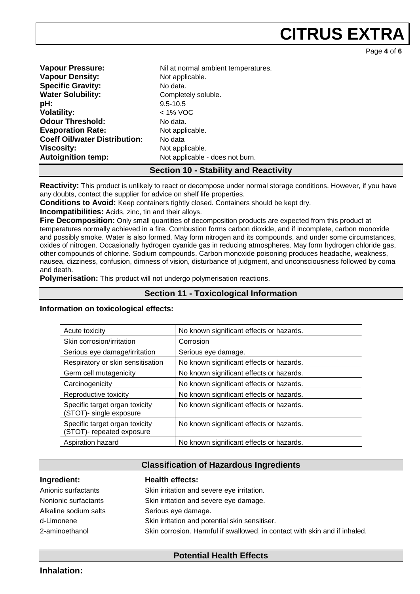Page **4** of **6**

| <b>Vapour Pressure:</b>              | Nil at normal ambient temperatures. |
|--------------------------------------|-------------------------------------|
| <b>Vapour Density:</b>               | Not applicable.                     |
| <b>Specific Gravity:</b>             | No data.                            |
| <b>Water Solubility:</b>             | Completely soluble.                 |
| pH:                                  | $9.5 - 10.5$                        |
| <b>Volatility:</b>                   | $<$ 1% VOC                          |
| <b>Odour Threshold:</b>              | No data.                            |
| <b>Evaporation Rate:</b>             | Not applicable.                     |
| <b>Coeff Oil/water Distribution:</b> | No data                             |
| <b>Viscosity:</b>                    | Not applicable.                     |
| <b>Autoignition temp:</b>            | Not applicable - does not burn.     |

#### **Section 10 - Stability and Reactivity**

**Reactivity:** This product is unlikely to react or decompose under normal storage conditions. However, if you have any doubts, contact the supplier for advice on shelf life properties.

**Conditions to Avoid:** Keep containers tightly closed. Containers should be kept dry.

**Incompatibilities:** Acids, zinc, tin and their alloys.

**Fire Decomposition:** Only small quantities of decomposition products are expected from this product at temperatures normally achieved in a fire. Combustion forms carbon dioxide, and if incomplete, carbon monoxide and possibly smoke. Water is also formed. May form nitrogen and its compounds, and under some circumstances, oxides of nitrogen. Occasionally hydrogen cyanide gas in reducing atmospheres. May form hydrogen chloride gas, other compounds of chlorine. Sodium compounds. Carbon monoxide poisoning produces headache, weakness, nausea, dizziness, confusion, dimness of vision, disturbance of judgment, and unconsciousness followed by coma and death.

**Polymerisation:** This product will not undergo polymerisation reactions.

### **Section 11 - Toxicological Information**

**Information on toxicological effects:** 

| Acute toxicity                                              | No known significant effects or hazards. |
|-------------------------------------------------------------|------------------------------------------|
| Skin corrosion/irritation                                   | Corrosion                                |
| Serious eye damage/irritation                               | Serious eye damage.                      |
| Respiratory or skin sensitisation                           | No known significant effects or hazards. |
| Germ cell mutagenicity                                      | No known significant effects or hazards. |
| Carcinogenicity                                             | No known significant effects or hazards. |
| Reproductive toxicity                                       | No known significant effects or hazards. |
| Specific target organ toxicity<br>(STOT)- single exposure   | No known significant effects or hazards. |
| Specific target organ toxicity<br>(STOT)- repeated exposure | No known significant effects or hazards. |
| Aspiration hazard                                           | No known significant effects or hazards. |

#### **Classification of Hazardous Ingredients**

| Ingredient:           | <b>Health effects:</b>                                                     |
|-----------------------|----------------------------------------------------------------------------|
| Anionic surfactants   | Skin irritation and severe eye irritation.                                 |
| Nonionic surfactants  | Skin irritation and severe eye damage.                                     |
| Alkaline sodium salts | Serious eye damage.                                                        |
| d-Limonene            | Skin irritation and potential skin sensitiser.                             |
| 2-aminoethanol        | Skin corrosion. Harmful if swallowed, in contact with skin and if inhaled. |

**Potential Health Effects**

**Inhalation:**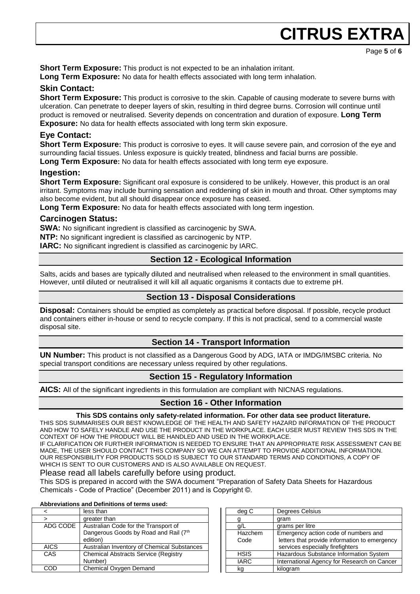Page **5** of **6**

**Short Term Exposure:** This product is not expected to be an inhalation irritant.

**Long Term Exposure:** No data for health effects associated with long term inhalation.

# **Skin Contact:**

**Short Term Exposure:** This product is corrosive to the skin. Capable of causing moderate to severe burns with ulceration. Can penetrate to deeper layers of skin, resulting in third degree burns. Corrosion will continue until product is removed or neutralised. Severity depends on concentration and duration of exposure. **Long Term Exposure:** No data for health effects associated with long term skin exposure.

# **Eye Contact:**

**Short Term Exposure:** This product is corrosive to eyes. It will cause severe pain, and corrosion of the eye and surrounding facial tissues. Unless exposure is quickly treated, blindness and facial burns are possible.

**Long Term Exposure:** No data for health effects associated with long term eye exposure.

# **Ingestion:**

**Short Term Exposure:** Significant oral exposure is considered to be unlikely. However, this product is an oral irritant. Symptoms may include burning sensation and reddening of skin in mouth and throat. Other symptoms may also become evident, but all should disappear once exposure has ceased.

**Long Term Exposure:** No data for health effects associated with long term ingestion.

# **Carcinogen Status:**

**SWA:** No significant ingredient is classified as carcinogenic by SWA.

**NTP:** No significant ingredient is classified as carcinogenic by NTP.

**IARC:** No significant ingredient is classified as carcinogenic by IARC.

# **Section 12 - Ecological Information**

Salts, acids and bases are typically diluted and neutralised when released to the environment in small quantities. However, until diluted or neutralised it will kill all aquatic organisms it contacts due to extreme pH.

# **Section 13 - Disposal Considerations**

**Disposal:** Containers should be emptied as completely as practical before disposal. If possible, recycle product and containers either in-house or send to recycle company. If this is not practical, send to a commercial waste disposal site.

### **Section 14 - Transport Information**

**UN Number:** This product is not classified as a Dangerous Good by ADG, IATA or IMDG/IMSBC criteria. No special transport conditions are necessary unless required by other regulations.

# **Section 15 - Regulatory Information**

**AICS:** All of the significant ingredients in this formulation are compliant with NICNAS regulations.

### **Section 16 - Other Information**

#### **This SDS contains only safety-related information. For other data see product literature.**

THIS SDS SUMMARISES OUR BEST KNOWLEDGE OF THE HEALTH AND SAFETY HAZARD INFORMATION OF THE PRODUCT AND HOW TO SAFELY HANDLE AND USE THE PRODUCT IN THE WORKPLACE. EACH USER MUST REVIEW THIS SDS IN THE CONTEXT OF HOW THE PRODUCT WILL BE HANDLED AND USED IN THE WORKPLACE.

IF CLARIFICATION OR FURTHER INFORMATION IS NEEDED TO ENSURE THAT AN APPROPRIATE RISK ASSESSMENT CAN BE MADE, THE USER SHOULD CONTACT THIS COMPANY SO WE CAN ATTEMPT TO PROVIDE ADDITIONAL INFORMATION. OUR RESPONSIBILITY FOR PRODUCTS SOLD IS SUBJECT TO OUR STANDARD TERMS AND CONDITIONS, A COPY OF WHICH IS SENT TO OUR CUSTOMERS AND IS ALSO AVAILABLE ON REQUEST.

#### Please read all labels carefully before using product.

This SDS is prepared in accord with the SWA document "Preparation of Safety Data Sheets for Hazardous Chemicals - Code of Practice" (December 2011) and is Copyright ©.

#### **Abbreviations and Definitions of terms used:**

|          | less than                                   |
|----------|---------------------------------------------|
| $\geq$   | greater than                                |
| ADG CODE | Australian Code for the Transport of        |
|          | Dangerous Goods by Road and Rail (7th       |
|          | edition)                                    |
| AICS     | Australian Inventory of Chemical Substances |
| CAS      | <b>Chemical Abstracts Service (Registry</b> |
|          | Number)                                     |
|          | Chemical Oxygen Demand                      |
|          |                                             |

| deg C           | Degrees Celsius                                                                                                           |
|-----------------|---------------------------------------------------------------------------------------------------------------------------|
|                 | gram                                                                                                                      |
| Q/L             | grams per litre                                                                                                           |
| Hazchem<br>Code | Emergency action code of numbers and<br>letters that provide information to emergency<br>services especially firefighters |
| <b>HSIS</b>     | Hazardous Substance Information System                                                                                    |
| <b>IARC</b>     | International Agency for Research on Cancer                                                                               |
| ka              | kilogram                                                                                                                  |